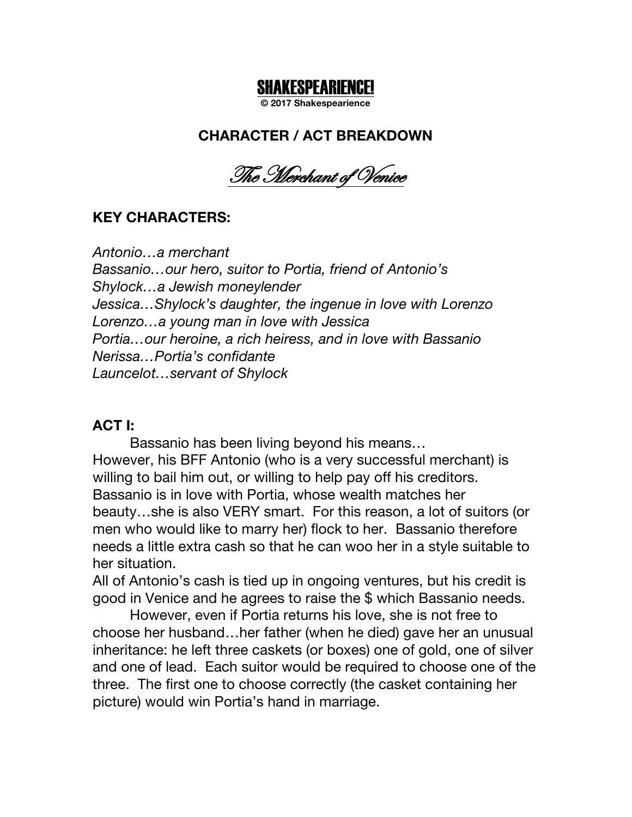# SHAKESPEARIENCE!

**© 2017 Shakespearience**

# **CHARACTER / ACT BREAKDOWN**

The Merchant of Venice

# **KEY CHARACTERS:**

*Antonio…a merchant Bassanio…our hero, suitor to Portia, friend of Antonio's Shylock…a Jewish moneylender Jessica…Shylock's daughter, the ingenue in love with Lorenzo Lorenzo…a young man in love with Jessica Portia…our heroine, a rich heiress, and in love with Bassanio Nerissa…Portia's confidante Launcelot…servant of Shylock*

#### **ACT I:**

Bassanio has been living beyond his means… However, his BFF Antonio (who is a very successful merchant) is willing to bail him out, or willing to help pay off his creditors. Bassanio is in love with Portia, whose wealth matches her beauty…she is also VERY smart. For this reason, a lot of suitors (or men who would like to marry her) flock to her. Bassanio therefore needs a little extra cash so that he can woo her in a style suitable to her situation.

All of Antonio's cash is tied up in ongoing ventures, but his credit is good in Venice and he agrees to raise the \$ which Bassanio needs.

However, even if Portia returns his love, she is not free to choose her husband…her father (when he died) gave her an unusual inheritance: he left three caskets (or boxes) one of gold, one of silver and one of lead. Each suitor would be required to choose one of the three. The first one to choose correctly (the casket containing her picture) would win Portia's hand in marriage.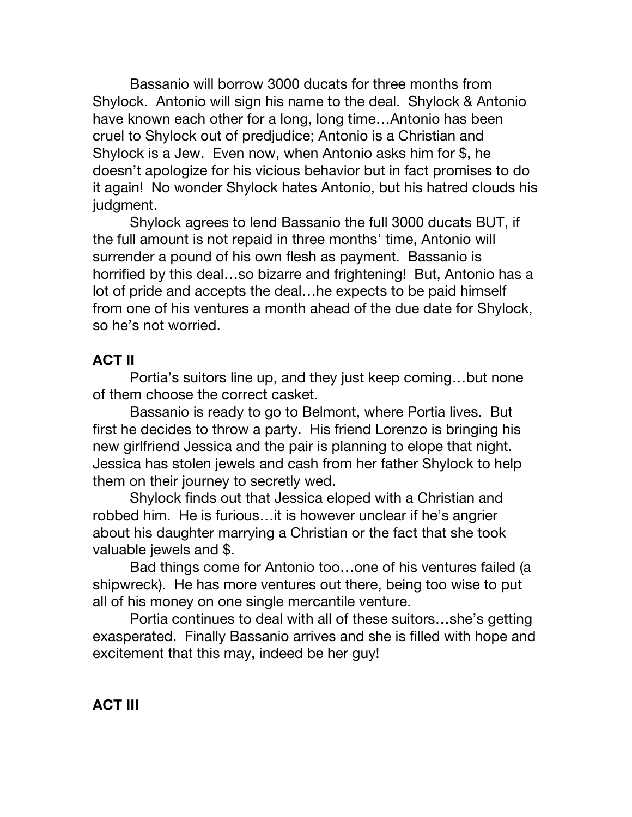Bassanio will borrow 3000 ducats for three months from Shylock. Antonio will sign his name to the deal. Shylock & Antonio have known each other for a long, long time…Antonio has been cruel to Shylock out of predjudice; Antonio is a Christian and Shylock is a Jew. Even now, when Antonio asks him for \$, he doesn't apologize for his vicious behavior but in fact promises to do it again! No wonder Shylock hates Antonio, but his hatred clouds his judgment.

Shylock agrees to lend Bassanio the full 3000 ducats BUT, if the full amount is not repaid in three months' time, Antonio will surrender a pound of his own flesh as payment. Bassanio is horrified by this deal…so bizarre and frightening! But, Antonio has a lot of pride and accepts the deal…he expects to be paid himself from one of his ventures a month ahead of the due date for Shylock, so he's not worried.

### **ACT II**

Portia's suitors line up, and they just keep coming…but none of them choose the correct casket.

Bassanio is ready to go to Belmont, where Portia lives. But first he decides to throw a party. His friend Lorenzo is bringing his new girlfriend Jessica and the pair is planning to elope that night. Jessica has stolen jewels and cash from her father Shylock to help them on their journey to secretly wed.

Shylock finds out that Jessica eloped with a Christian and robbed him. He is furious…it is however unclear if he's angrier about his daughter marrying a Christian or the fact that she took valuable jewels and \$.

Bad things come for Antonio too…one of his ventures failed (a shipwreck). He has more ventures out there, being too wise to put all of his money on one single mercantile venture.

Portia continues to deal with all of these suitors…she's getting exasperated. Finally Bassanio arrives and she is filled with hope and excitement that this may, indeed be her guy!

**ACT III**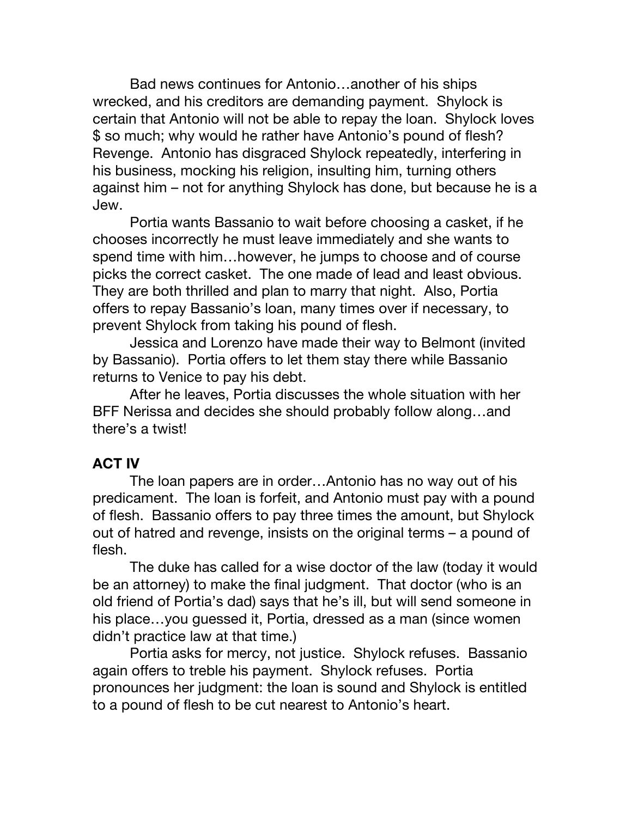Bad news continues for Antonio…another of his ships wrecked, and his creditors are demanding payment. Shylock is certain that Antonio will not be able to repay the loan. Shylock loves \$ so much; why would he rather have Antonio's pound of flesh? Revenge. Antonio has disgraced Shylock repeatedly, interfering in his business, mocking his religion, insulting him, turning others against him – not for anything Shylock has done, but because he is a Jew.

Portia wants Bassanio to wait before choosing a casket, if he chooses incorrectly he must leave immediately and she wants to spend time with him…however, he jumps to choose and of course picks the correct casket. The one made of lead and least obvious. They are both thrilled and plan to marry that night. Also, Portia offers to repay Bassanio's loan, many times over if necessary, to prevent Shylock from taking his pound of flesh.

Jessica and Lorenzo have made their way to Belmont (invited by Bassanio). Portia offers to let them stay there while Bassanio returns to Venice to pay his debt.

After he leaves, Portia discusses the whole situation with her BFF Nerissa and decides she should probably follow along…and there's a twist!

# **ACT IV**

The loan papers are in order…Antonio has no way out of his predicament. The loan is forfeit, and Antonio must pay with a pound of flesh. Bassanio offers to pay three times the amount, but Shylock out of hatred and revenge, insists on the original terms – a pound of flesh.

The duke has called for a wise doctor of the law (today it would be an attorney) to make the final judgment. That doctor (who is an old friend of Portia's dad) says that he's ill, but will send someone in his place…you guessed it, Portia, dressed as a man (since women didn't practice law at that time.)

Portia asks for mercy, not justice. Shylock refuses. Bassanio again offers to treble his payment. Shylock refuses. Portia pronounces her judgment: the loan is sound and Shylock is entitled to a pound of flesh to be cut nearest to Antonio's heart.